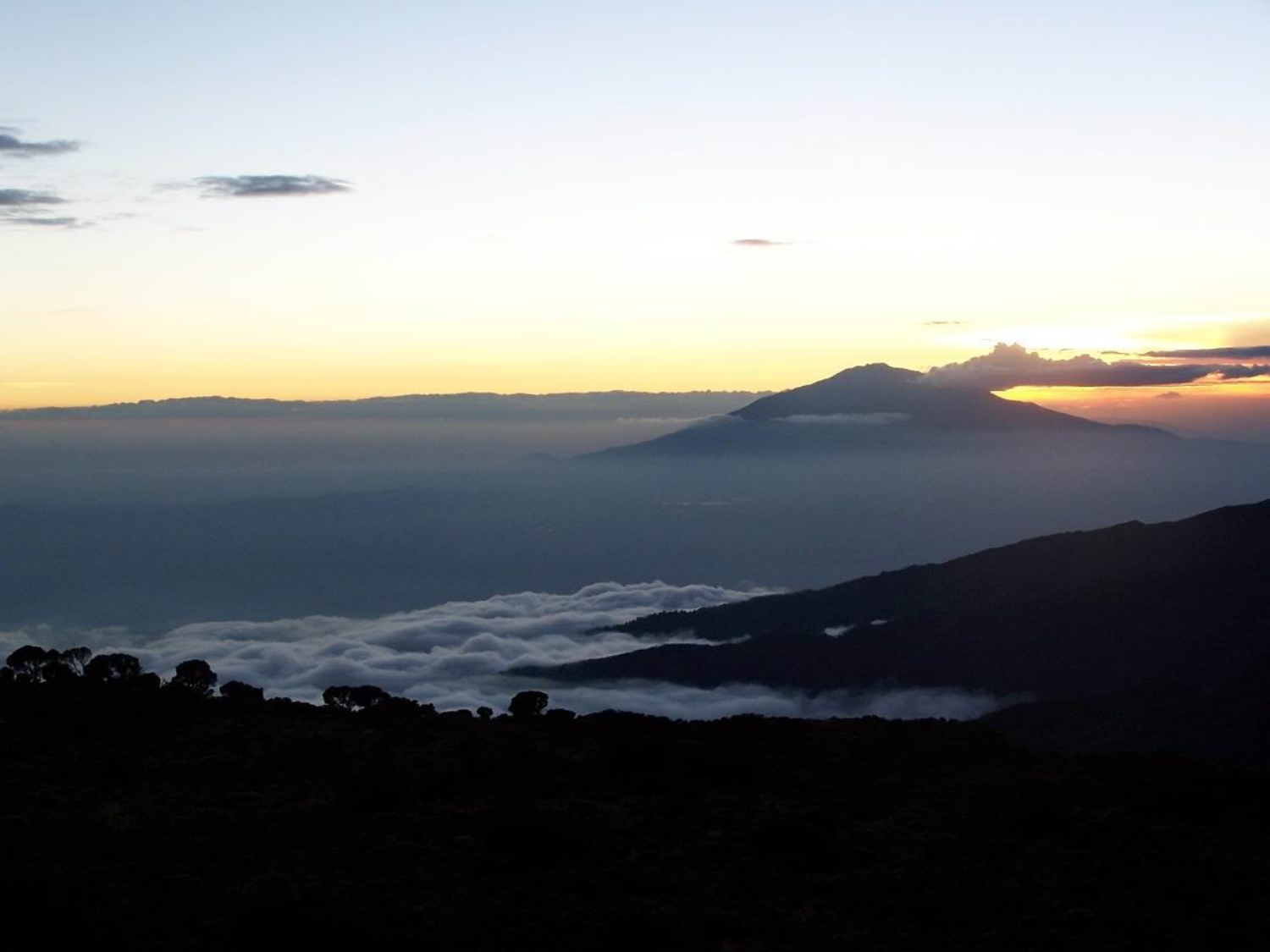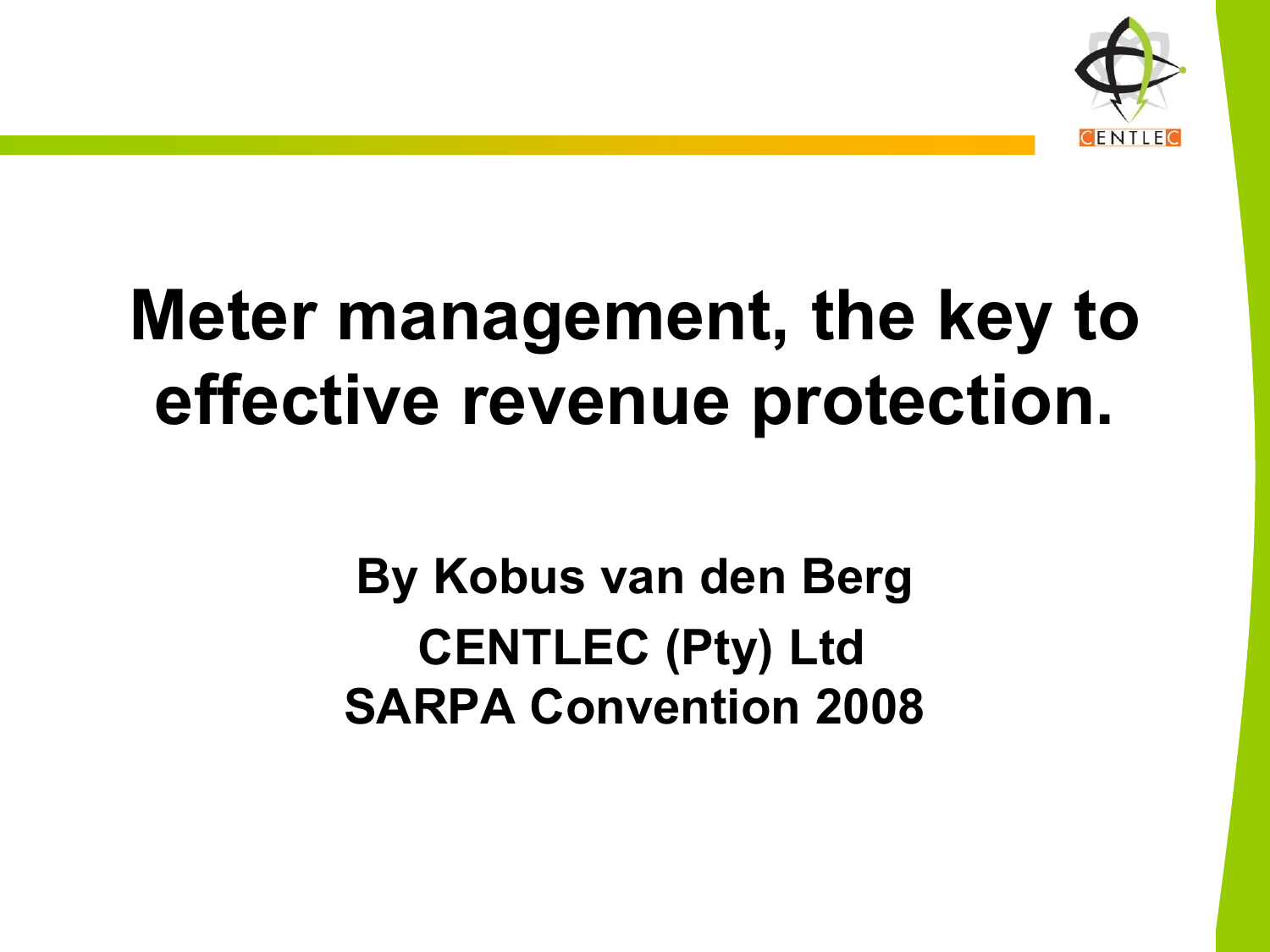

### **Meter management, the key to effective revenue protection.**

**By Kobus van den Berg CENTLEC (Pty) Ltd SARPA Convention 2008**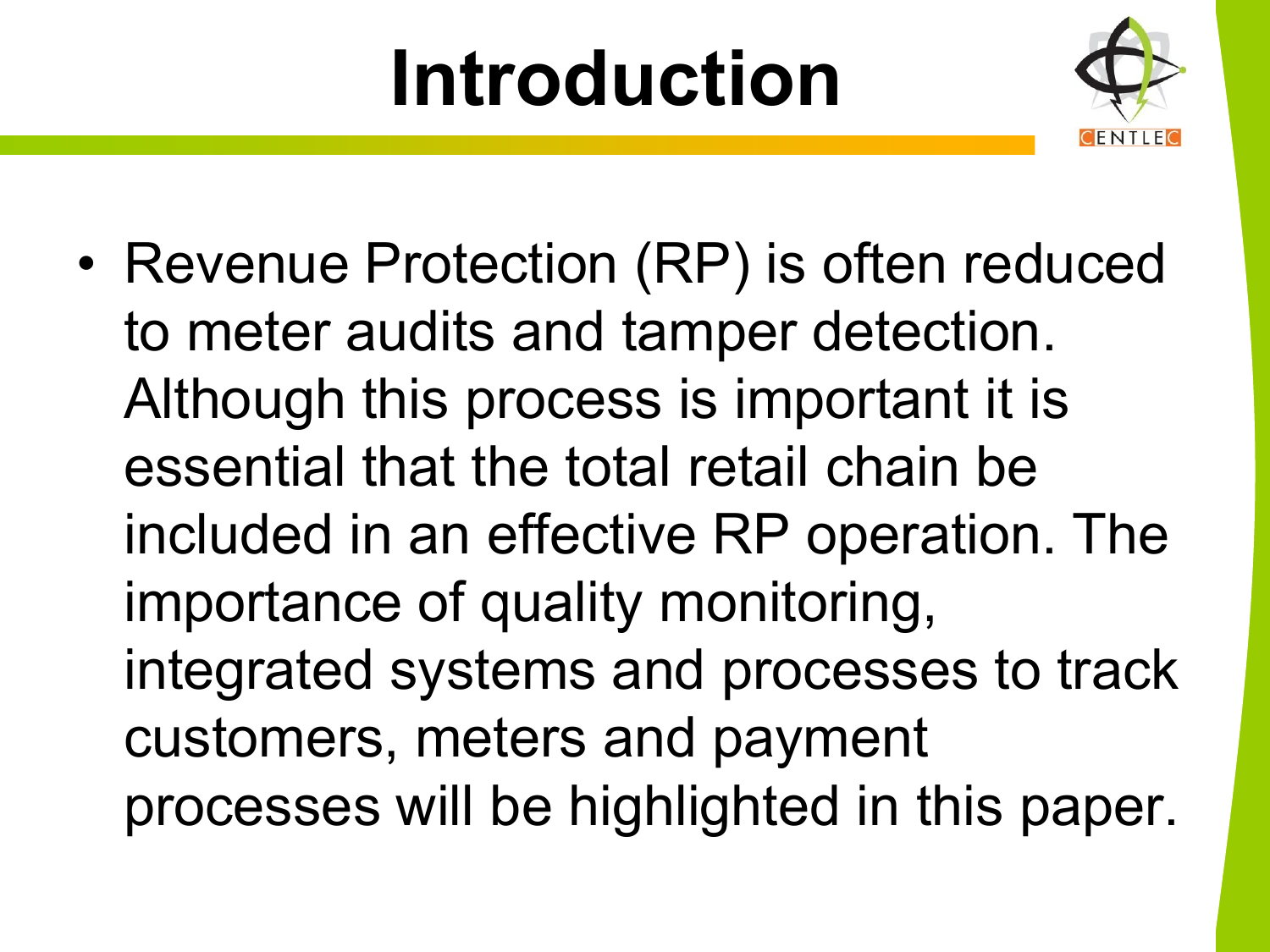# **Introduction**



• Revenue Protection (RP) is often reduced to meter audits and tamper detection. Although this process is important it is essential that the total retail chain be included in an effective RP operation. The importance of quality monitoring, integrated systems and processes to track customers, meters and payment processes will be highlighted in this paper.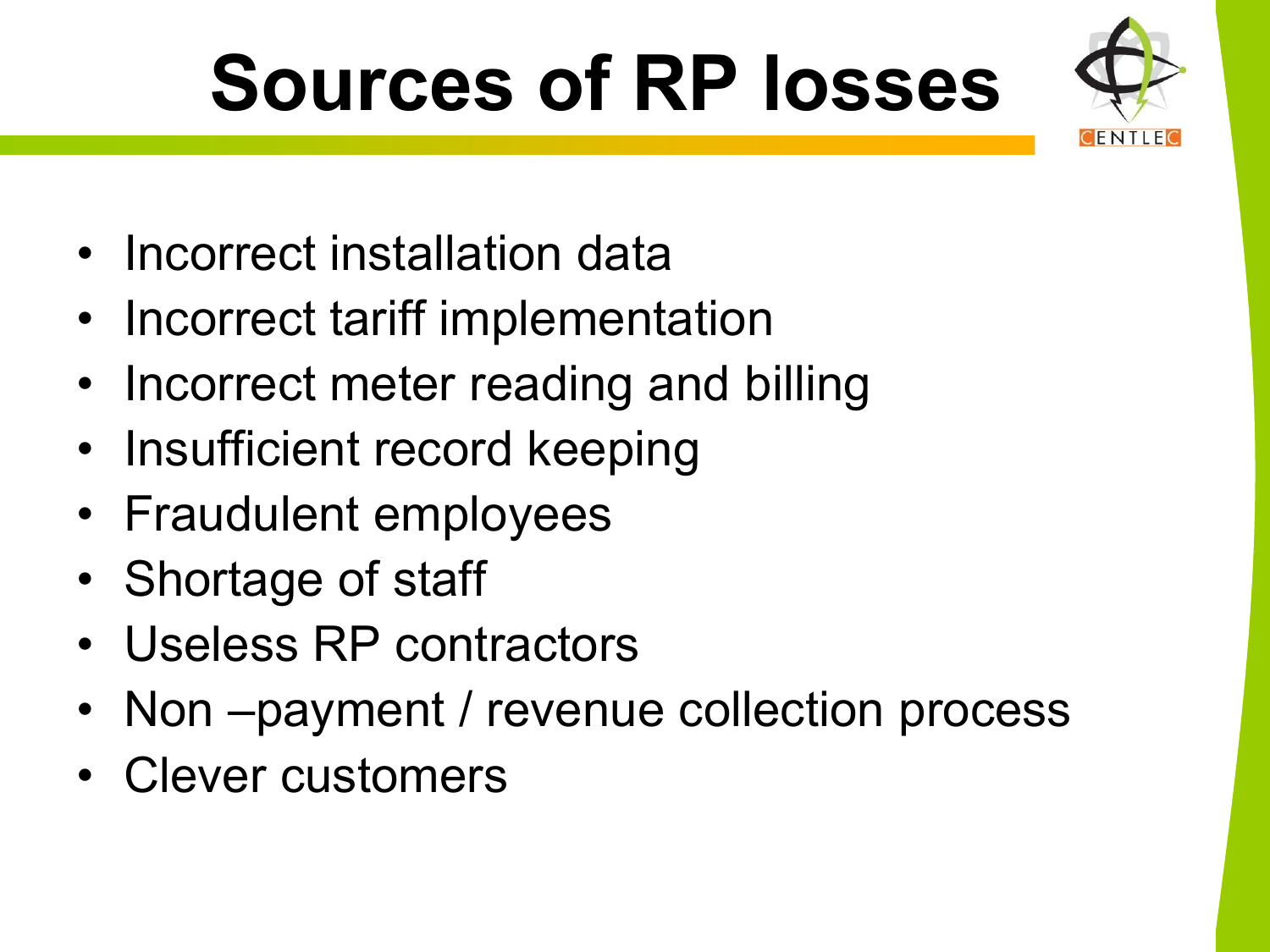# **Sources of RP losses**



- Incorrect installation data
- Incorrect tariff implementation
- Incorrect meter reading and billing
- Insufficient record keeping
- Fraudulent employees
- Shortage of staff
- Useless RP contractors
- Non –payment / revenue collection process
- Clever customers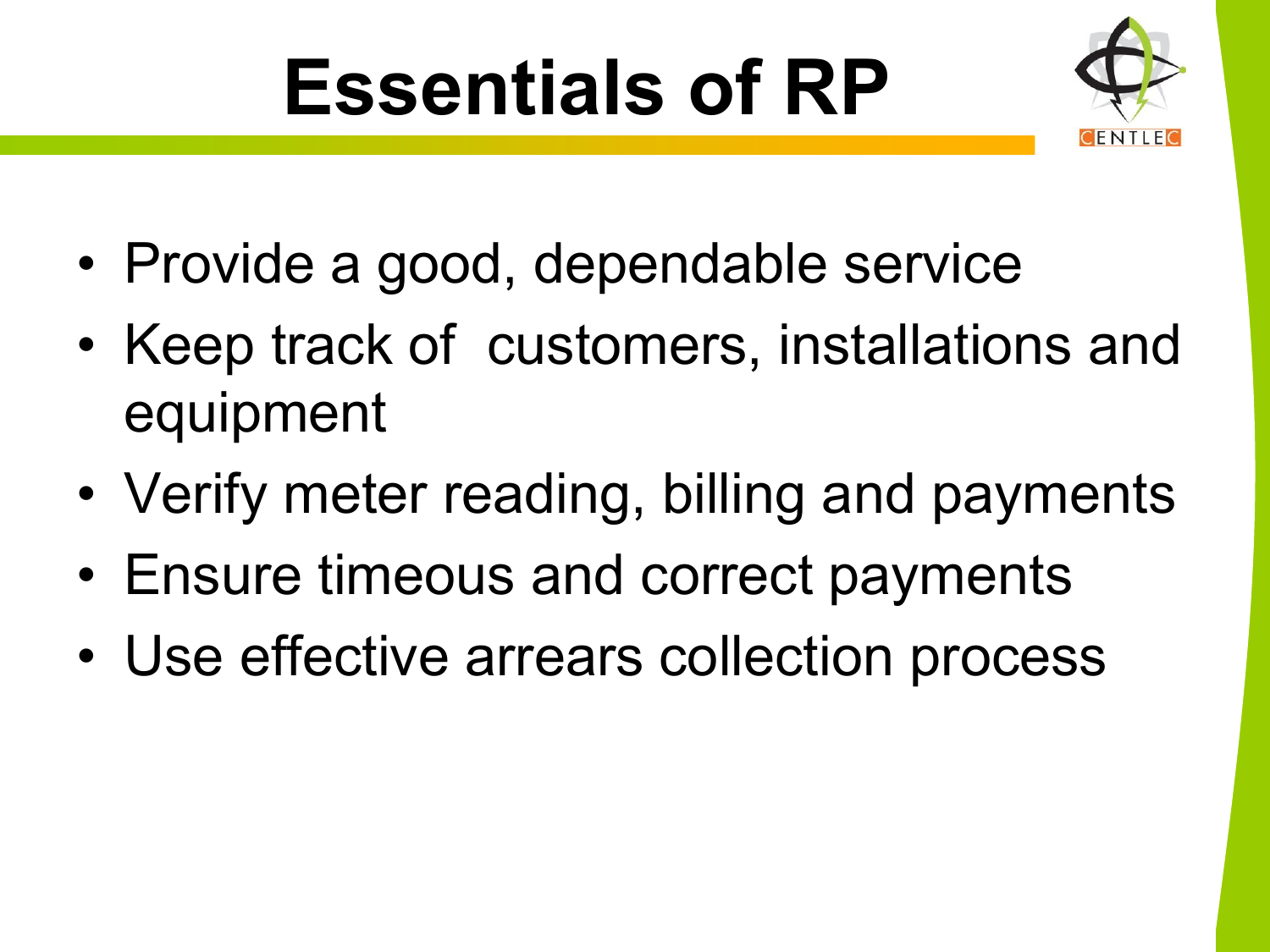# **Essentials of RP**



- Provide a good, dependable service
- Keep track of customers, installations and equipment
- Verify meter reading, billing and payments
- Ensure timeous and correct payments
- Use effective arrears collection process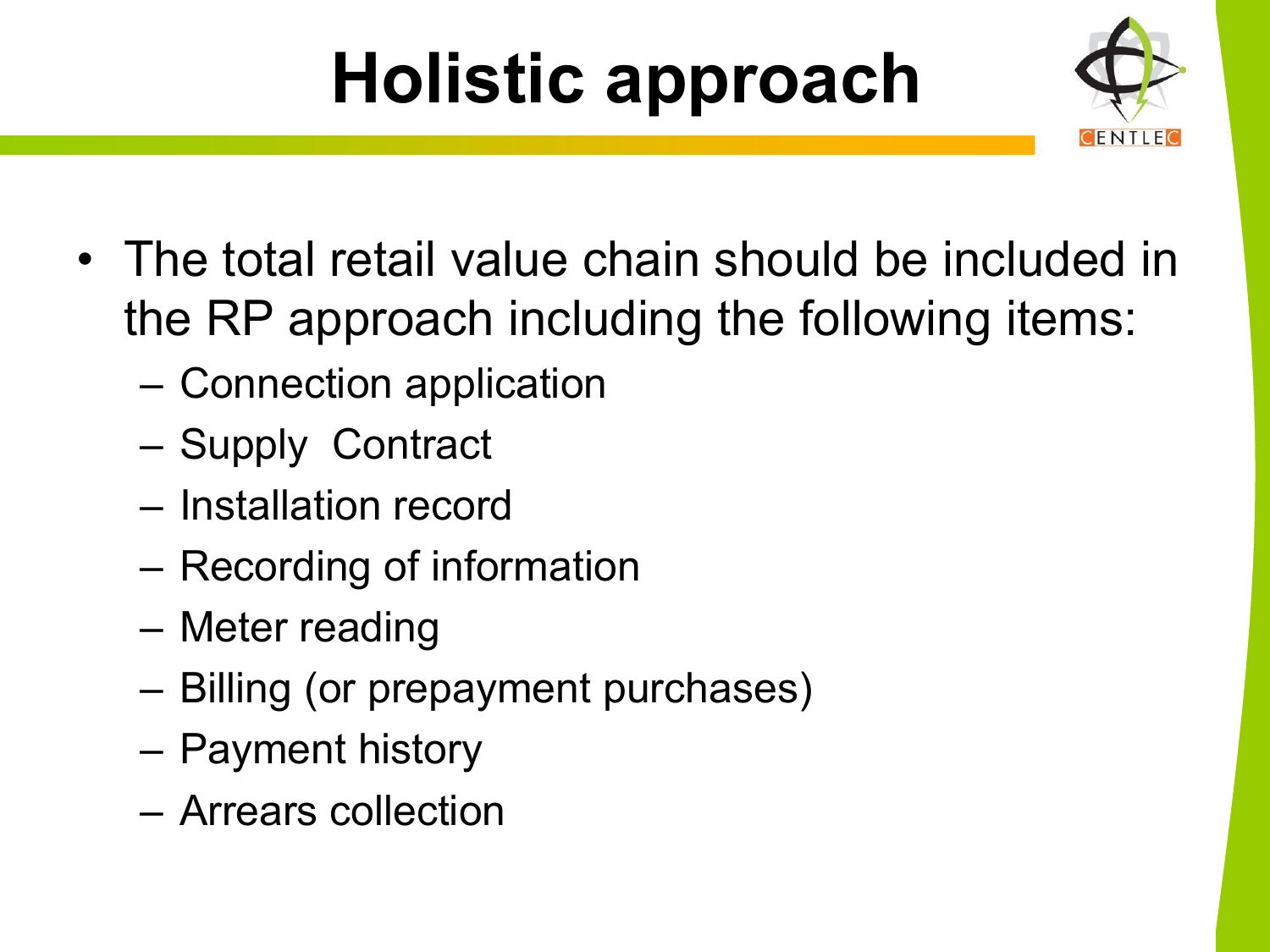# **Holistic approach**



- The total retail value chain should be included in the RP approach including the following items:
	- Connection application
	- Supply Contract
	- Installation record
	- Recording of information
	- Meter reading
	- Billing (or prepayment purchases)
	- Payment history
	- Arrears collection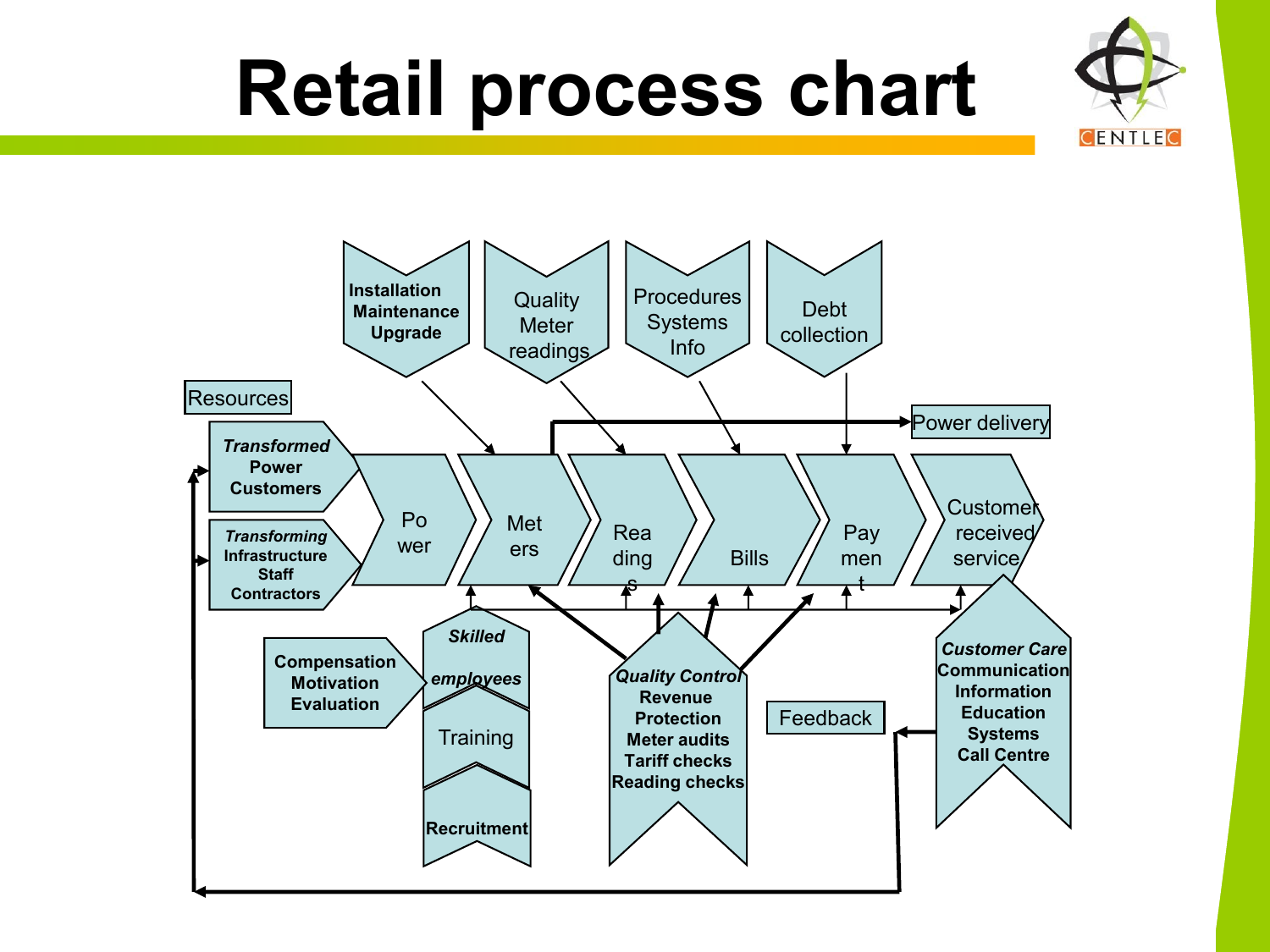# **Retail process chart**



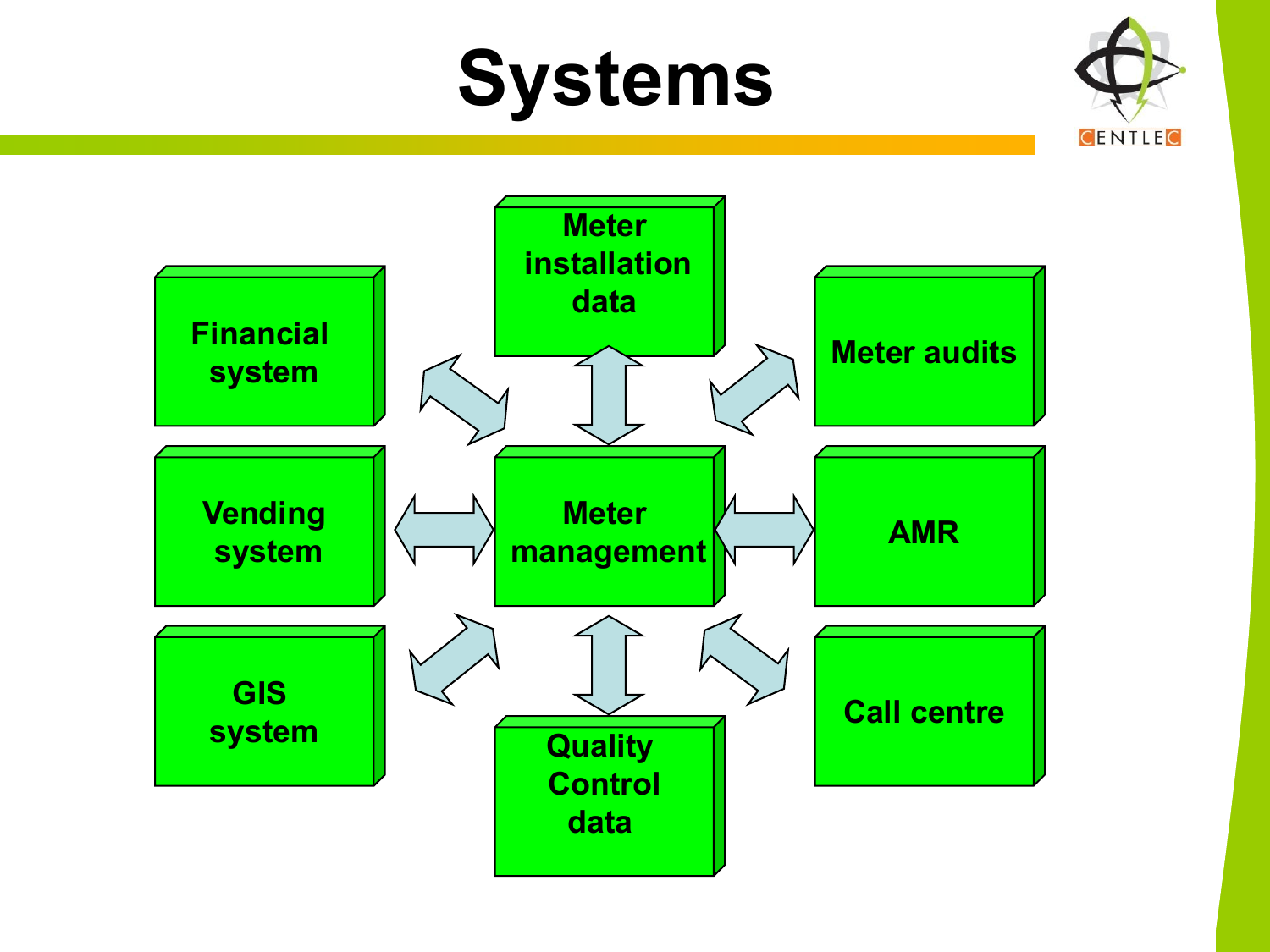## **Systems**



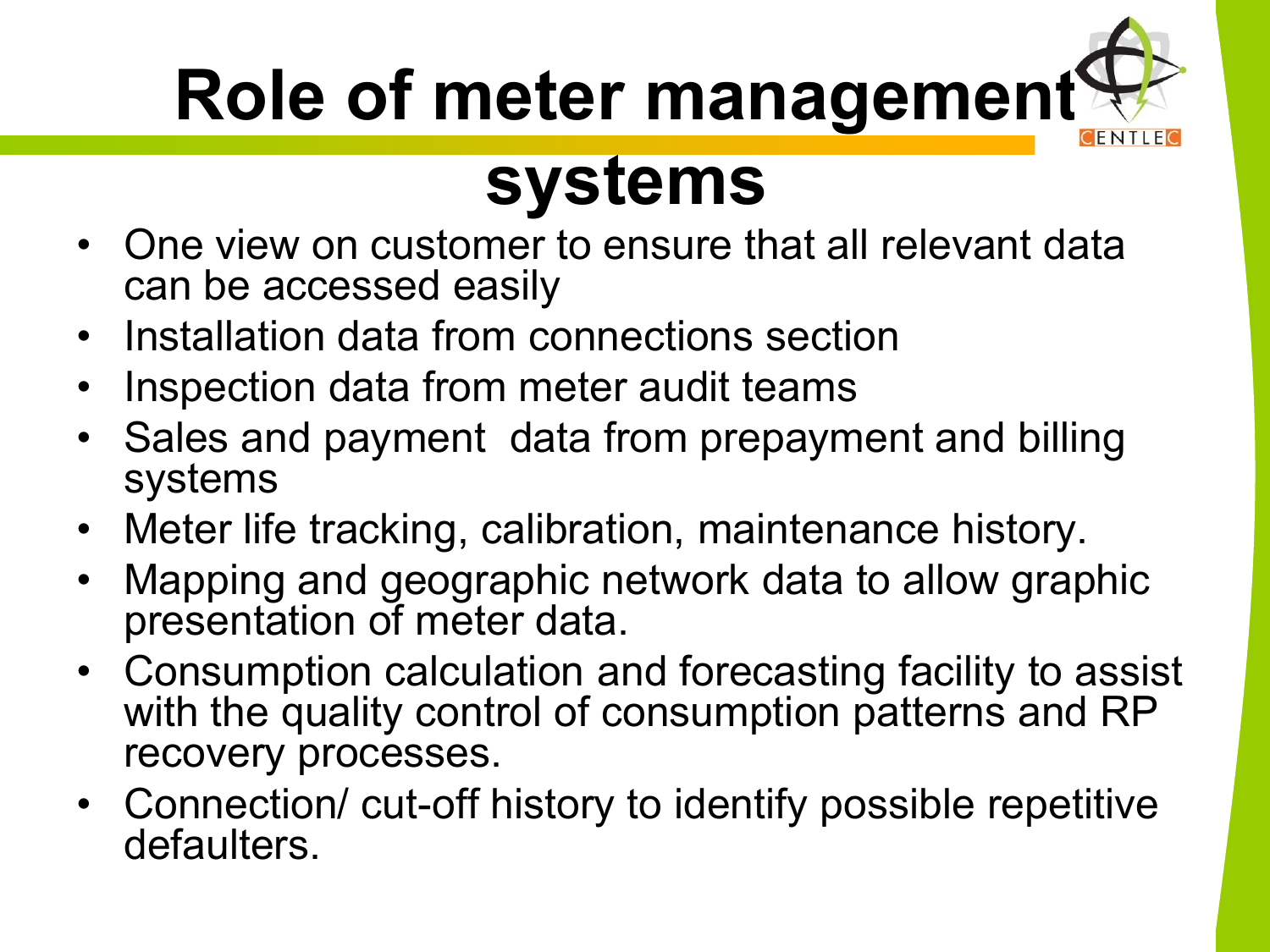# **Role of meter management**

#### **systems**

- One view on customer to ensure that all relevant data can be accessed easily
- Installation data from connections section
- Inspection data from meter audit teams
- Sales and payment data from prepayment and billing systems
- Meter life tracking, calibration, maintenance history.
- Mapping and geographic network data to allow graphic presentation of meter data.
- Consumption calculation and forecasting facility to assist with the quality control of consumption patterns and RP recovery processes.
- Connection/ cut-off history to identify possible repetitive defaulters.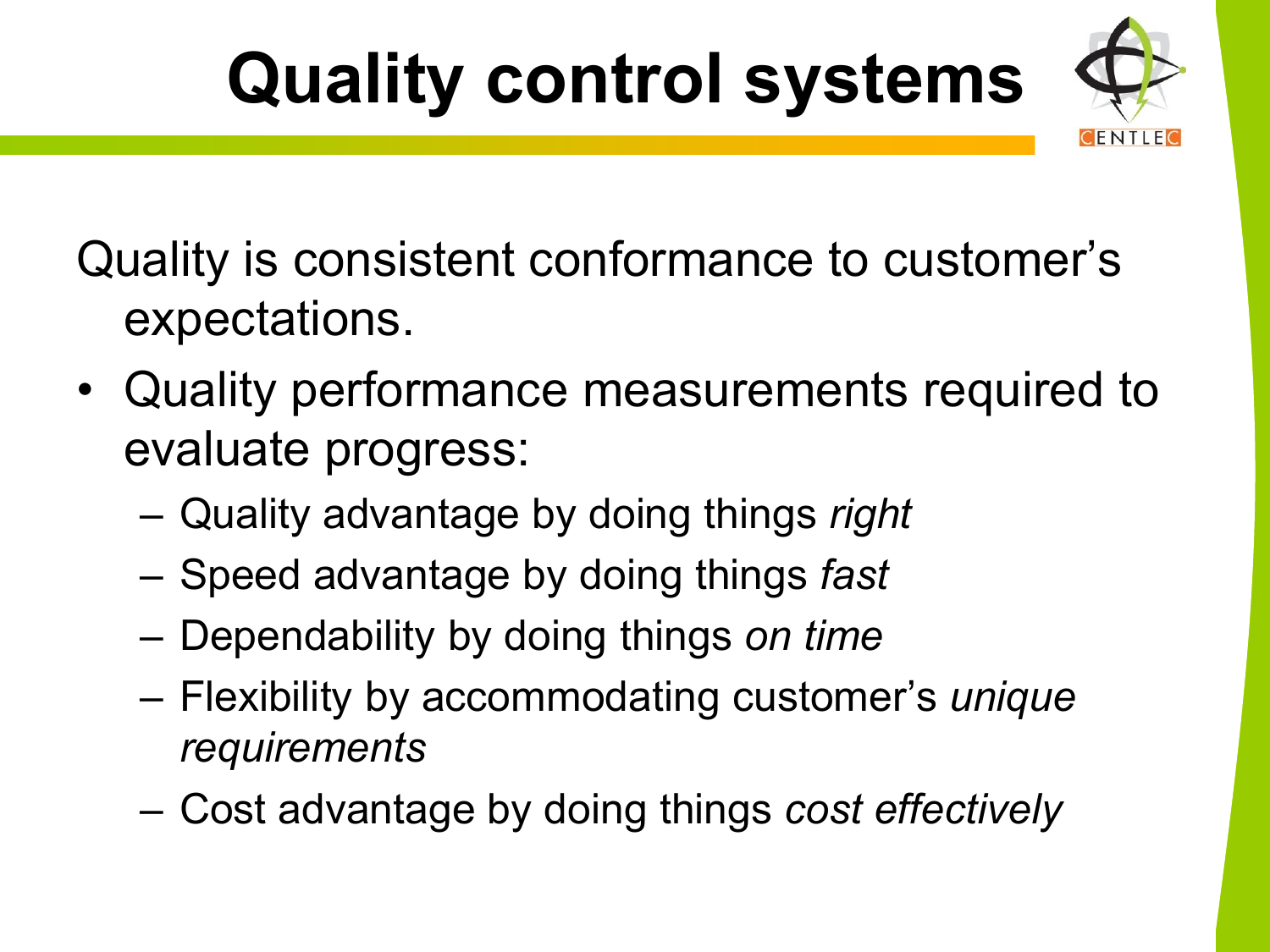# **Quality control systems**



Quality is consistent conformance to customer's expectations.

- Quality performance measurements required to evaluate progress:
	- Quality advantage by doing things *right*
	- Speed advantage by doing things *fast*
	- Dependability by doing things *on time*
	- Flexibility by accommodating customer's *unique requirements*
	- Cost advantage by doing things *cost effectively*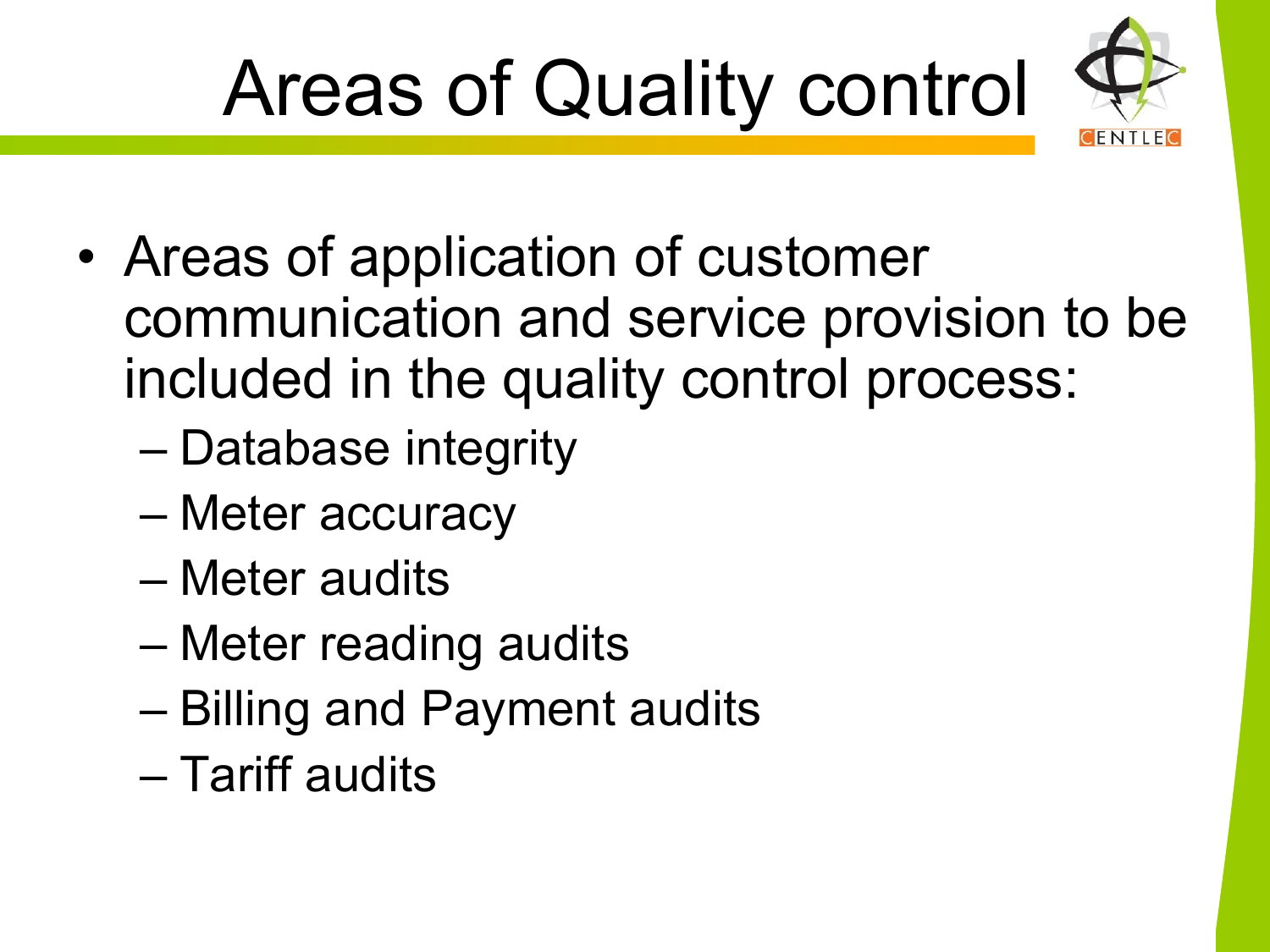# Areas of Quality control



- Areas of application of customer communication and service provision to be included in the quality control process:
	- Database integrity
	- Meter accuracy
	- Meter audits
	- Meter reading audits
	- Billing and Payment audits
	- Tariff audits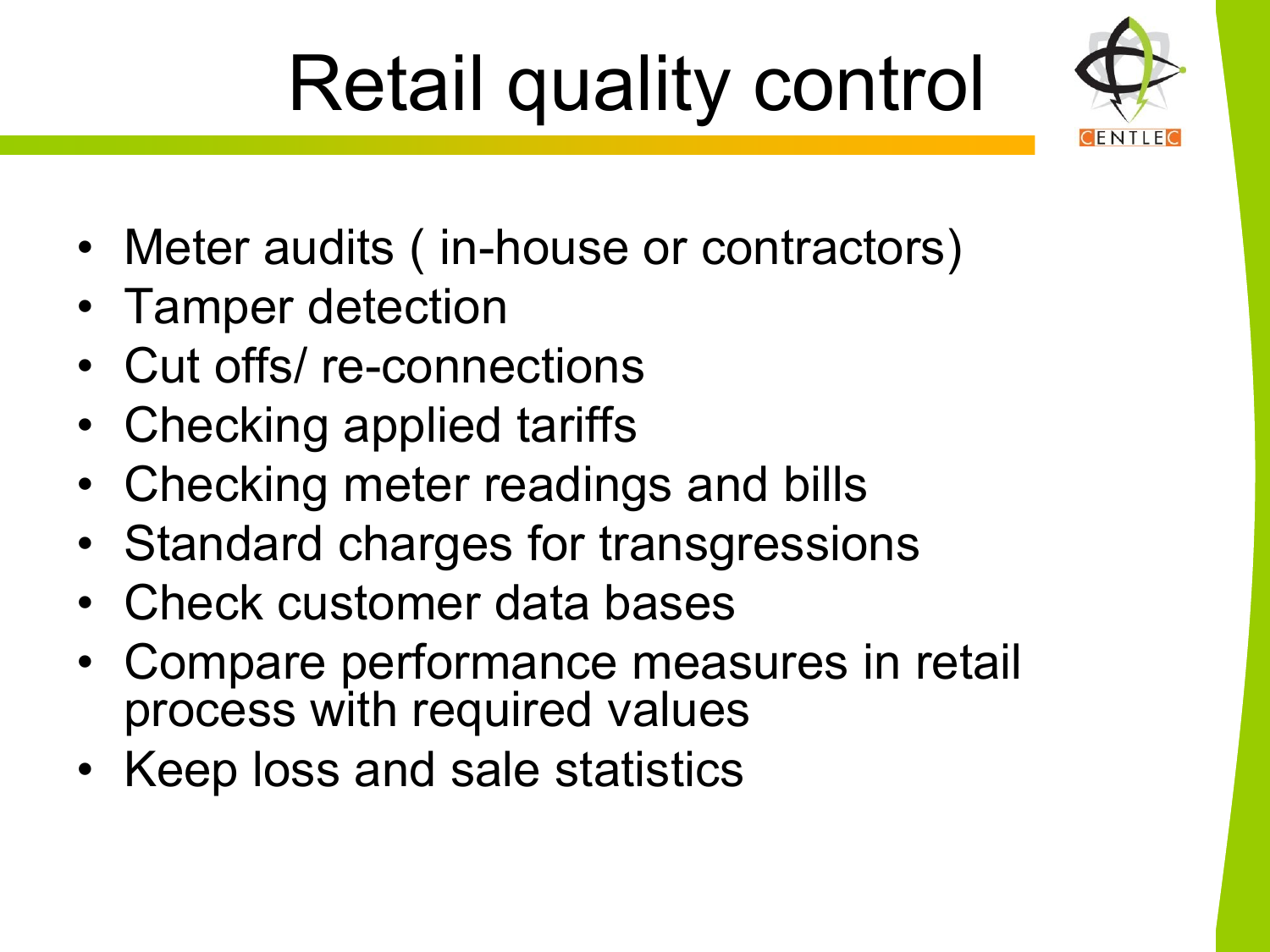# Retail quality control



- Meter audits ( in-house or contractors)
- Tamper detection
- Cut offs/ re-connections
- Checking applied tariffs
- Checking meter readings and bills
- Standard charges for transgressions
- Check customer data bases
- Compare performance measures in retail process with required values
- Keep loss and sale statistics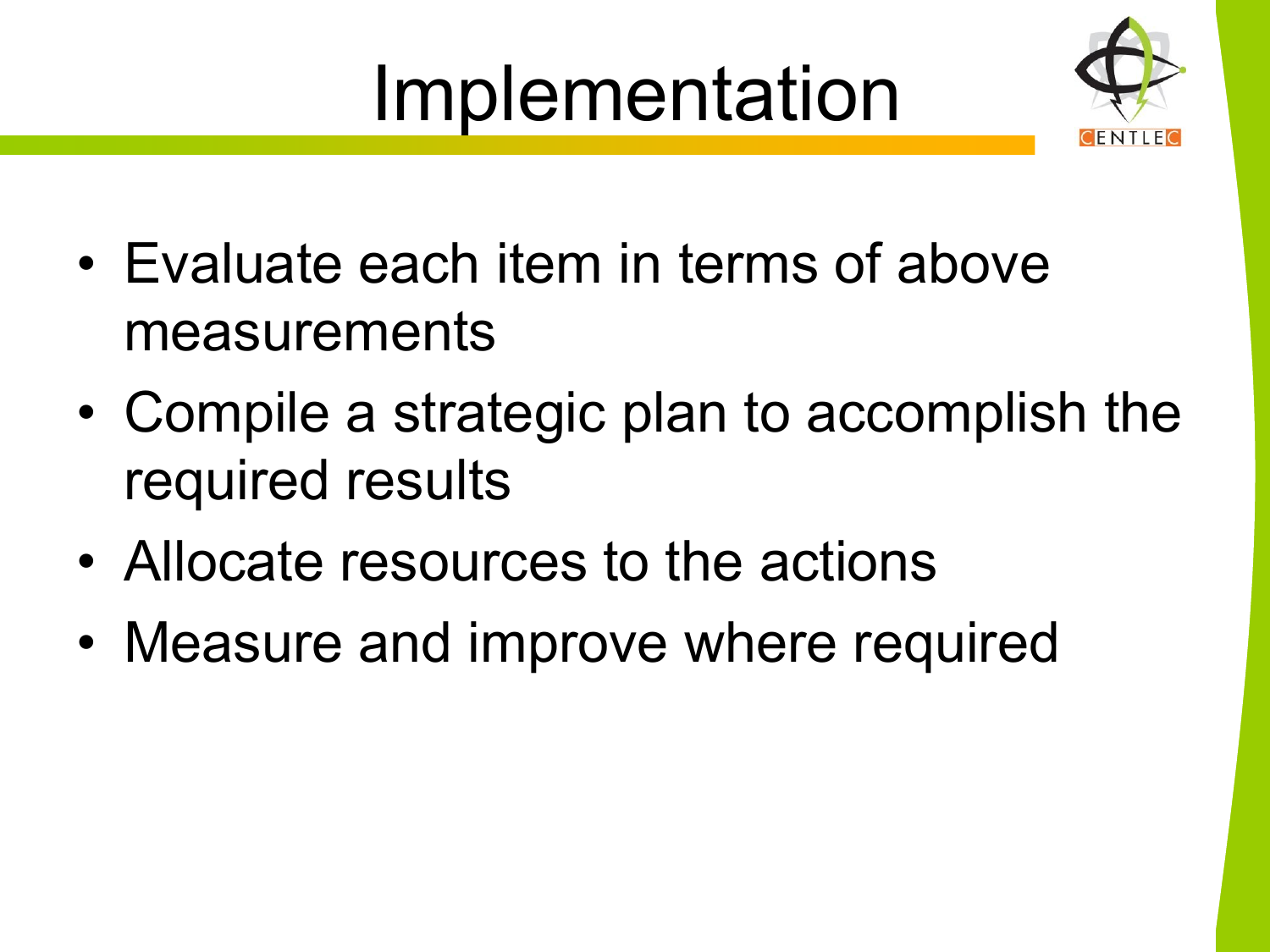# Implementation



- Evaluate each item in terms of above measurements
- Compile a strategic plan to accomplish the required results
- Allocate resources to the actions
- Measure and improve where required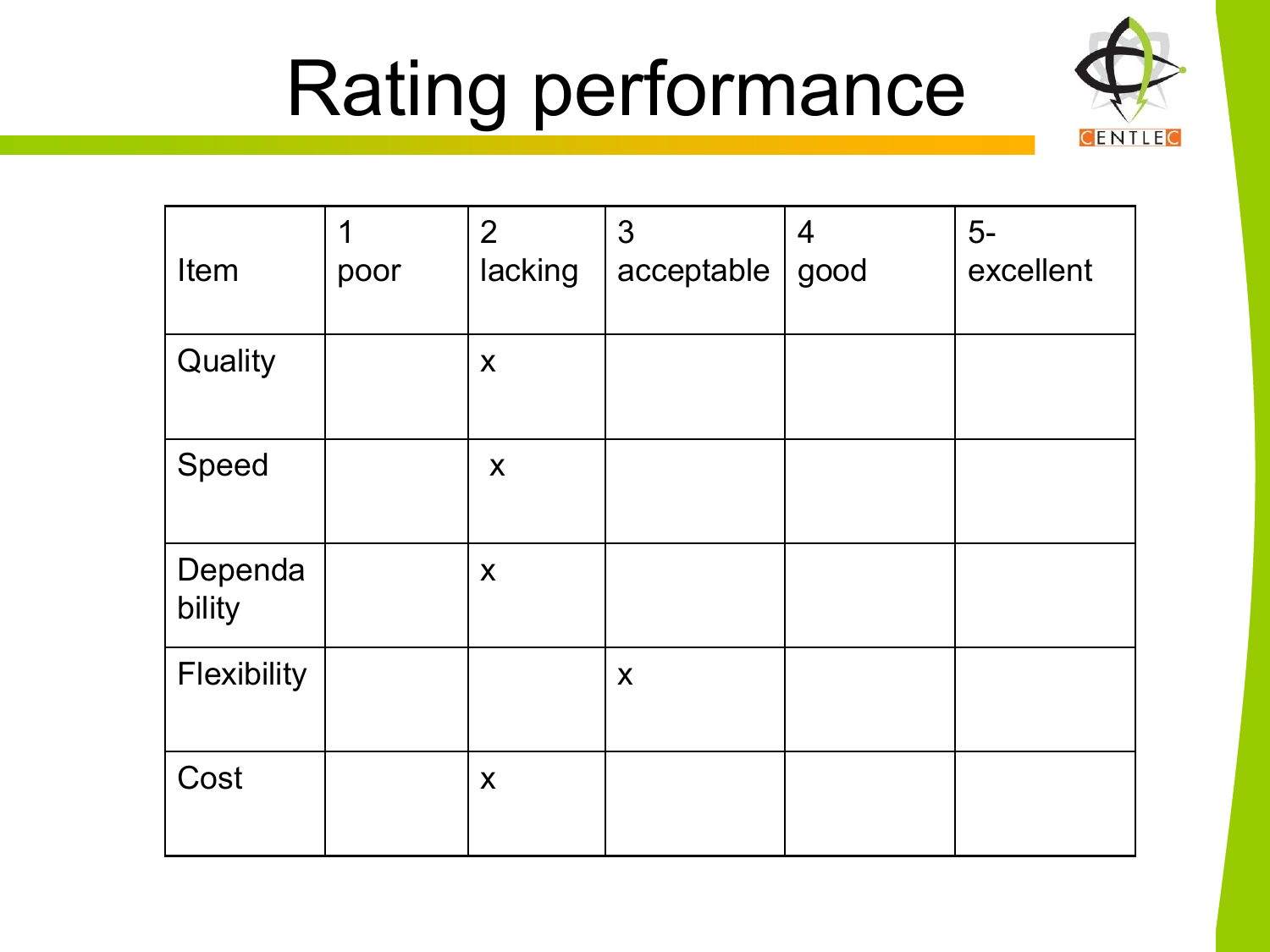# Rating performance



| Item              | 1<br>poor | $\overline{2}$<br>lacking | $\mathfrak{Z}$<br>acceptable | $\overline{4}$<br>good | $5-$<br>excellent |
|-------------------|-----------|---------------------------|------------------------------|------------------------|-------------------|
| Quality           |           | X                         |                              |                        |                   |
| Speed             |           | X                         |                              |                        |                   |
| Dependa<br>bility |           | X                         |                              |                        |                   |
| Flexibility       |           |                           | X                            |                        |                   |
| Cost              |           | X                         |                              |                        |                   |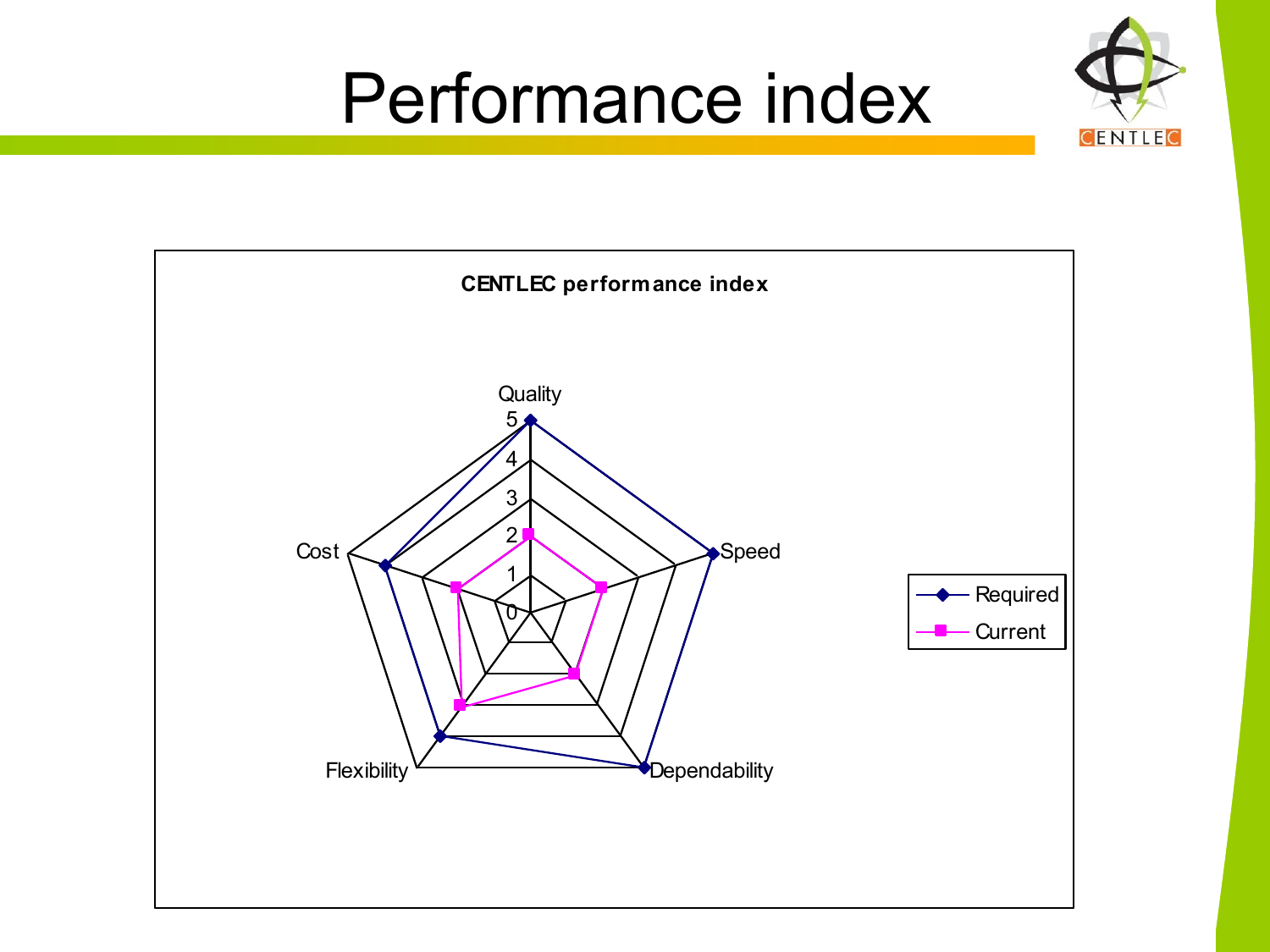#### Performance index



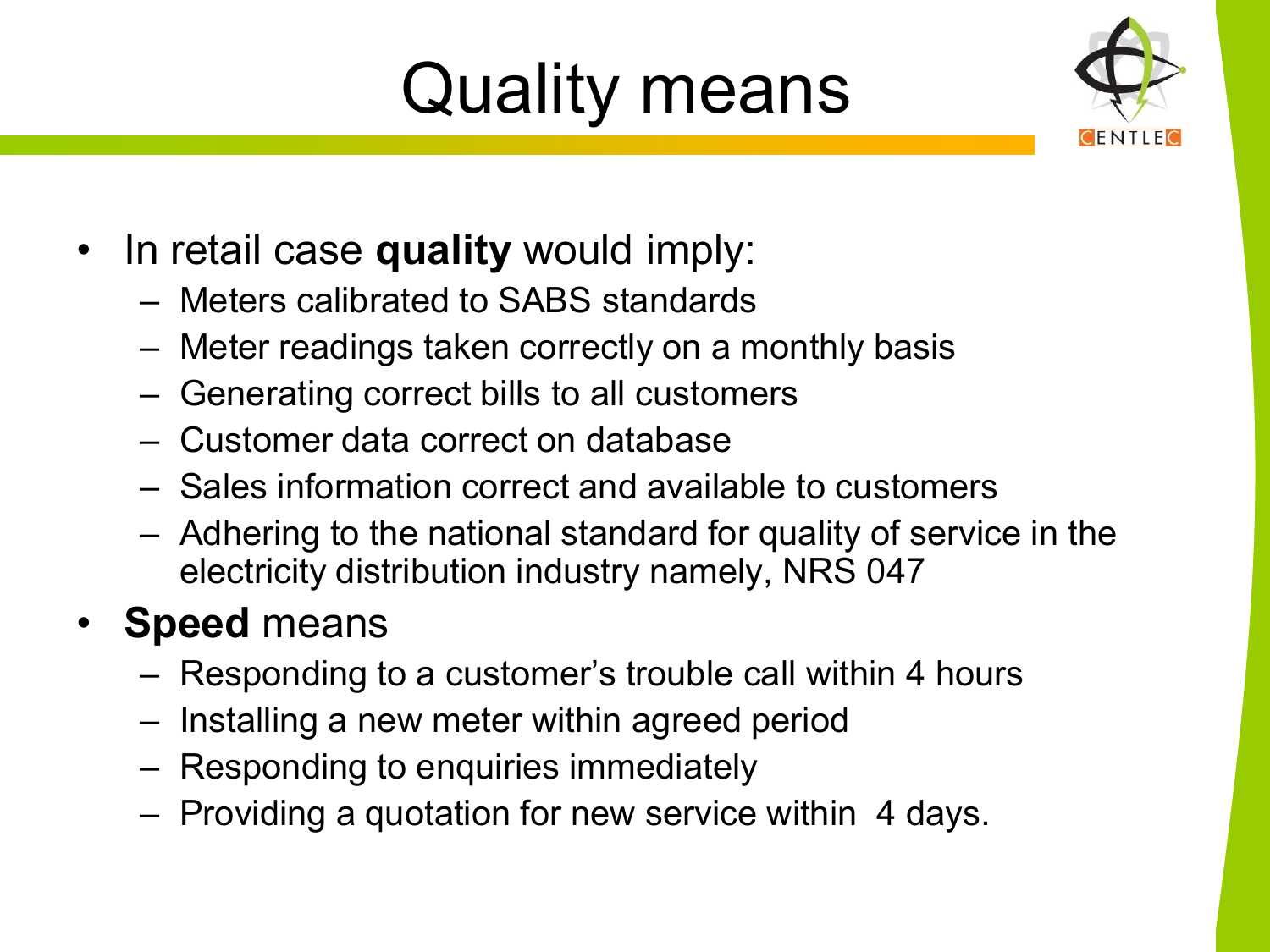## Quality means



- In retail case **quality** would imply:
	- Meters calibrated to SABS standards
	- Meter readings taken correctly on a monthly basis
	- Generating correct bills to all customers
	- Customer data correct on database
	- Sales information correct and available to customers
	- Adhering to the national standard for quality of service in the electricity distribution industry namely, NRS 047

#### • **Speed** means

- Responding to a customer's trouble call within 4 hours
- Installing a new meter within agreed period
- Responding to enquiries immediately
- Providing a quotation for new service within 4 days.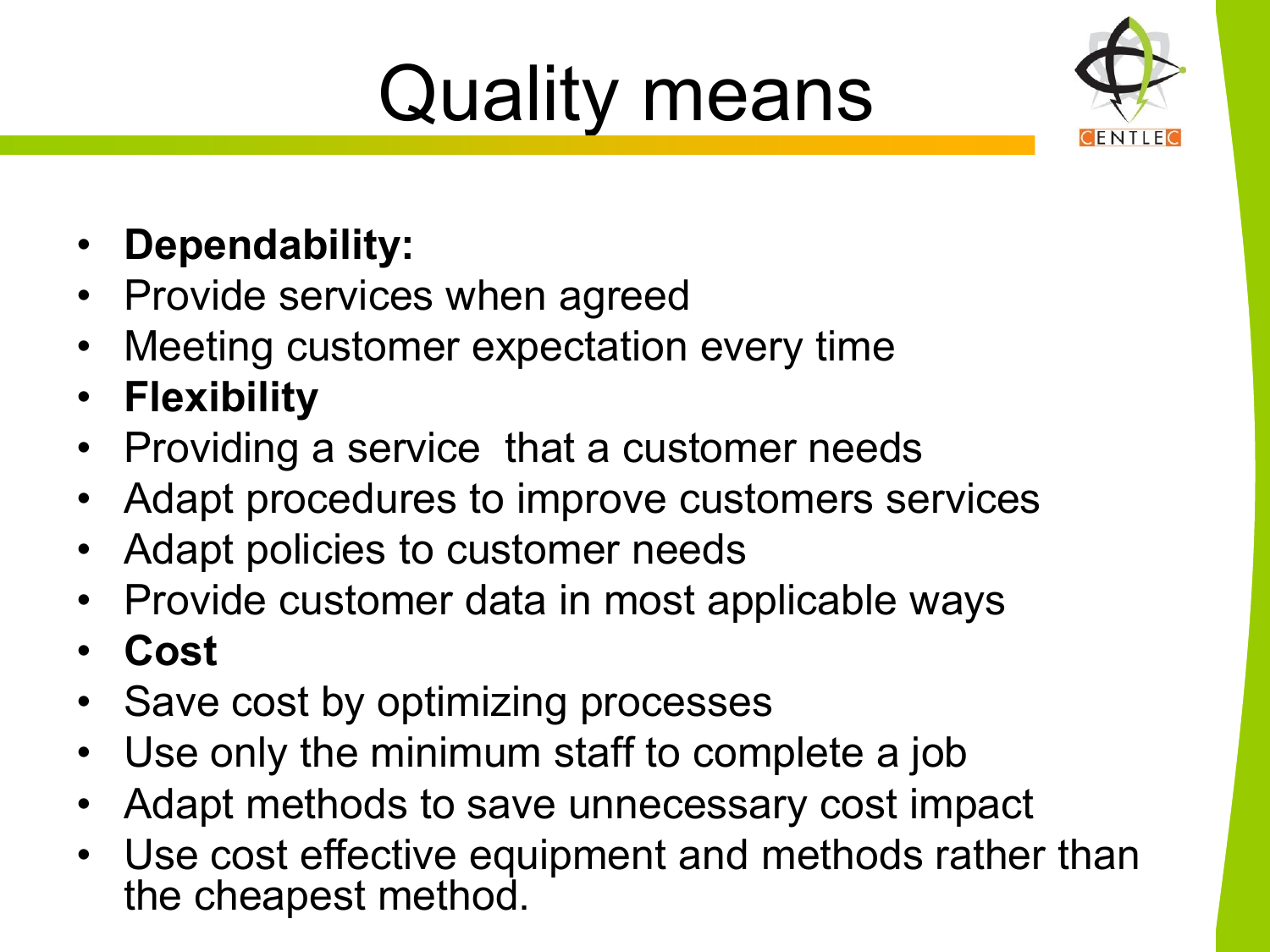# Quality means



- **Dependability:**
- Provide services when agreed
- Meeting customer expectation every time
- **Flexibility**
- Providing a service that a customer needs
- Adapt procedures to improve customers services
- Adapt policies to customer needs
- Provide customer data in most applicable ways
- **Cost**
- Save cost by optimizing processes
- Use only the minimum staff to complete a job
- Adapt methods to save unnecessary cost impact
- Use cost effective equipment and methods rather than the cheapest method.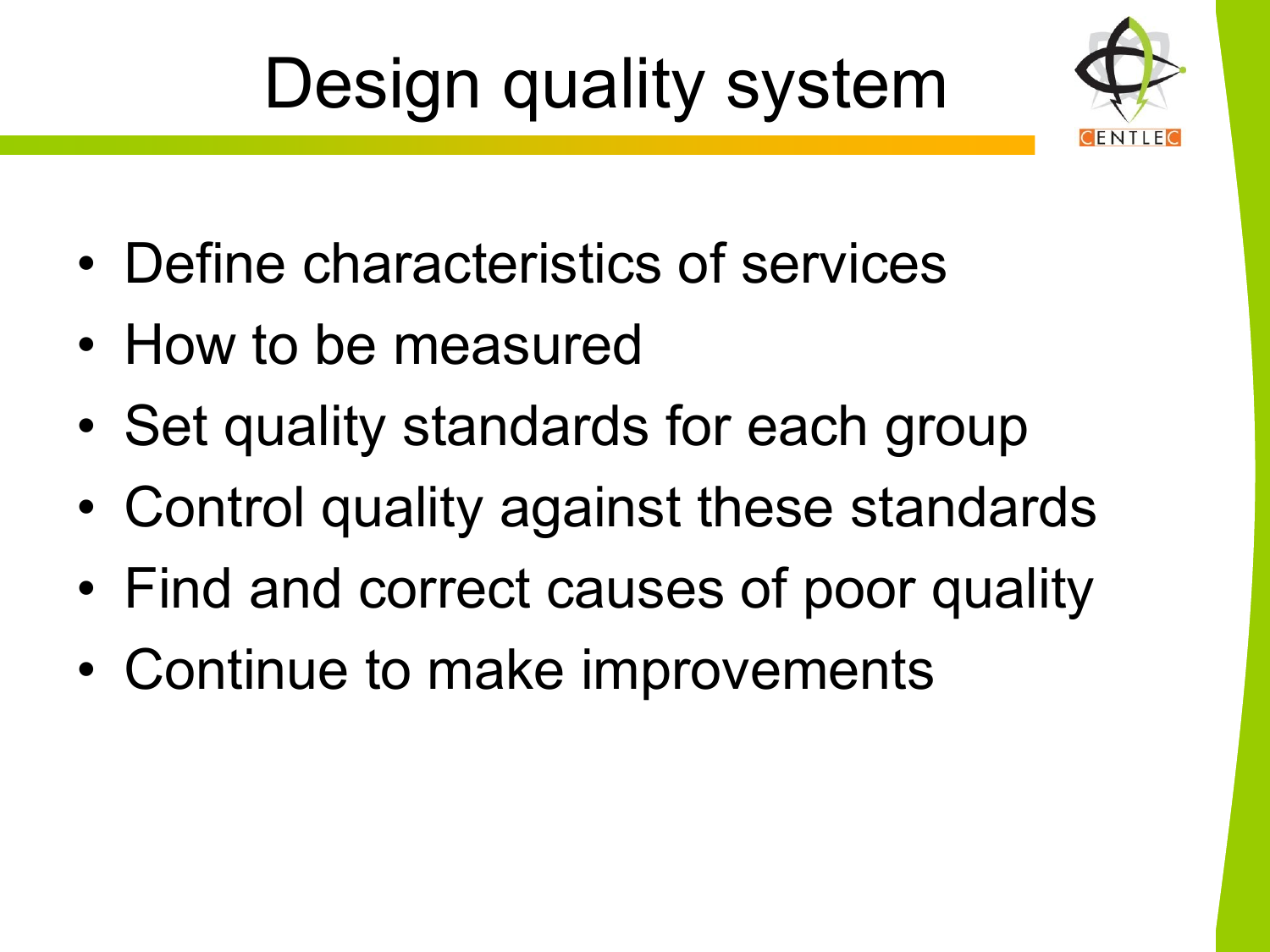# Design quality system



- Define characteristics of services
- How to be measured
- Set quality standards for each group
- Control quality against these standards
- Find and correct causes of poor quality
- Continue to make improvements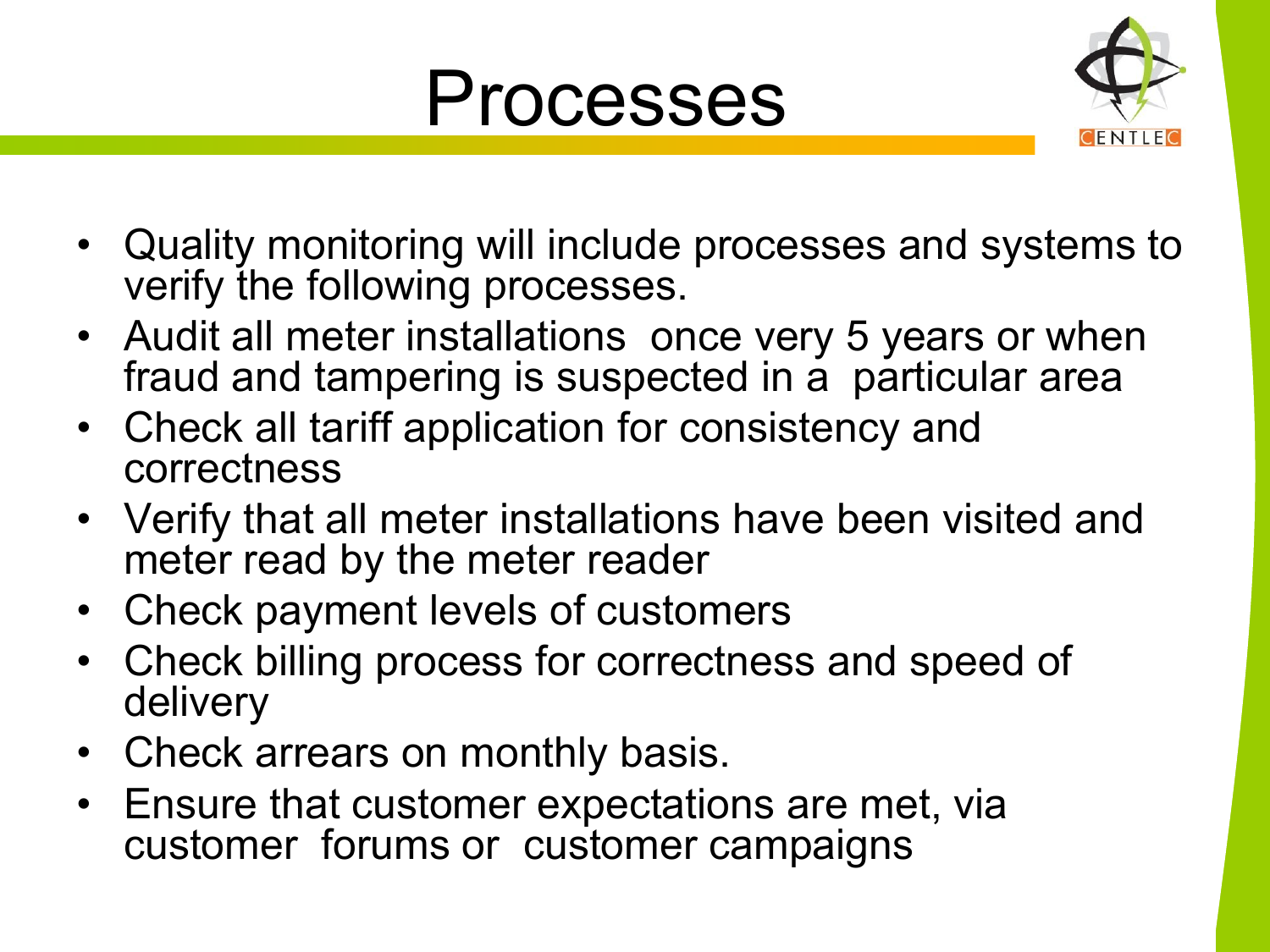### Processes



- Quality monitoring will include processes and systems to verify the following processes.
- Audit all meter installations once very 5 years or when fraud and tampering is suspected in a particular area
- Check all tariff application for consistency and correctness
- Verify that all meter installations have been visited and meter read by the meter reader
- Check payment levels of customers
- Check billing process for correctness and speed of delivery
- Check arrears on monthly basis.
- Ensure that customer expectations are met, via customer forums or customer campaigns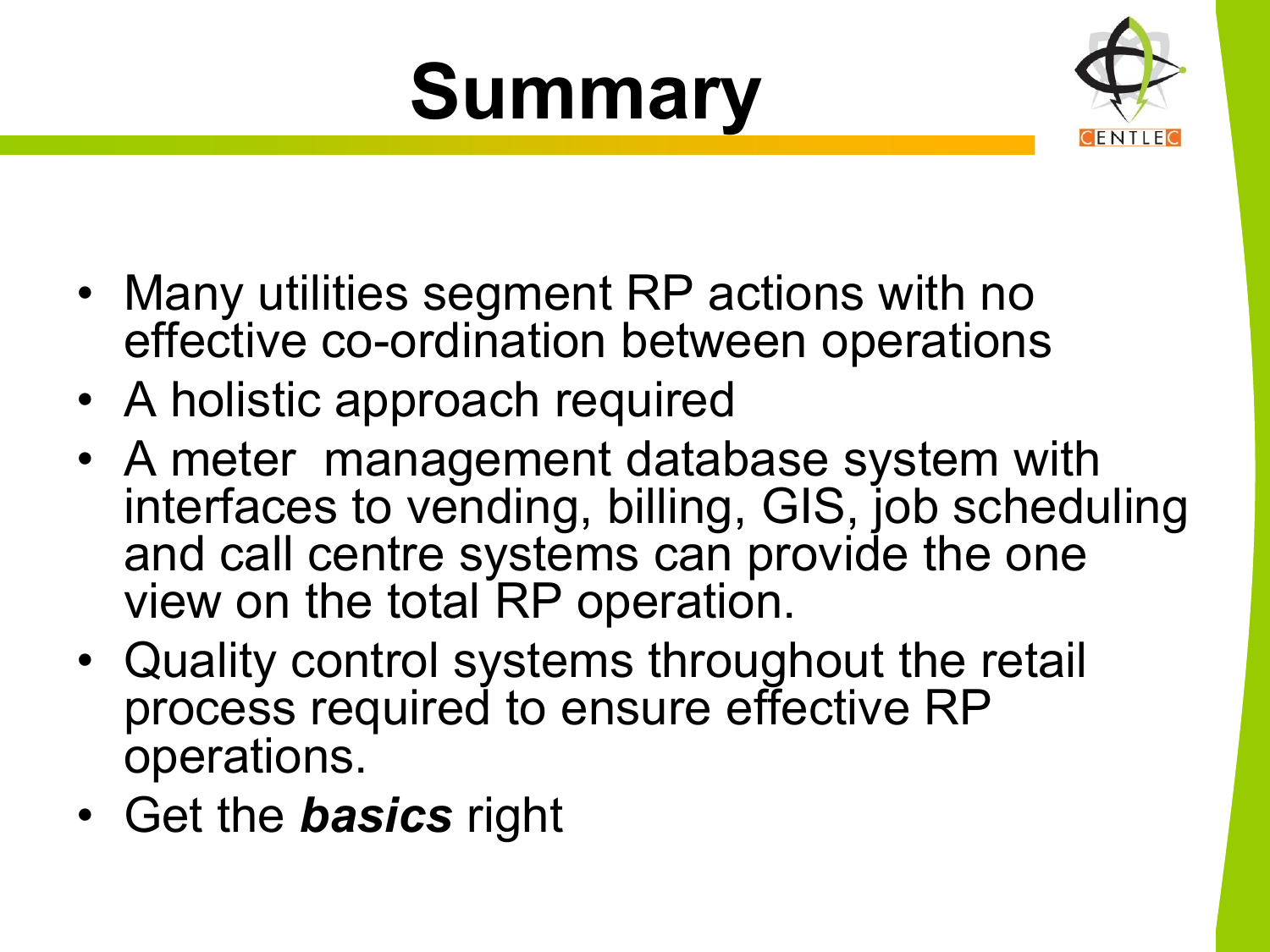# **Summary**



- Many utilities segment RP actions with no effective co-ordination between operations
- A holistic approach required
- A meter management database system with interfaces to vending, billing, GIS, job scheduling and call centre systems can provide the one view on the total RP operation.
- Quality control systems throughout the retail process required to ensure effective RP operations.
- Get the *basics* right